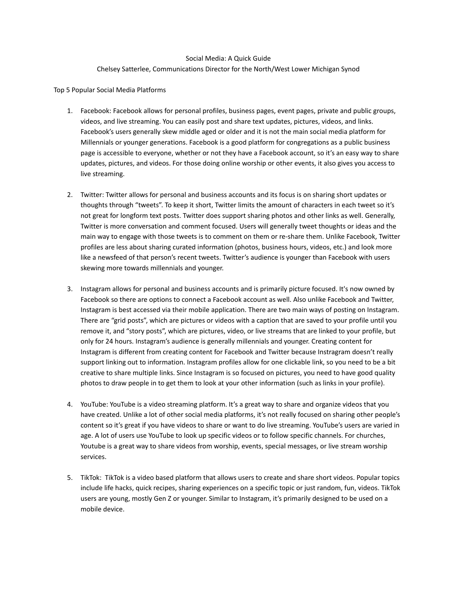## Social Media: A Quick Guide

## Chelsey Satterlee, Communications Director for the North/West Lower Michigan Synod

Top 5 Popular Social Media Platforms

- 1. Facebook: Facebook allows for personal profiles, business pages, event pages, private and public groups, videos, and live streaming. You can easily post and share text updates, pictures, videos, and links. Facebook's users generally skew middle aged or older and it is not the main social media platform for Millennials or younger generations. Facebook is a good platform for congregations as a public business page is accessible to everyone, whether or not they have a Facebook account, so it's an easy way to share updates, pictures, and videos. For those doing online worship or other events, it also gives you access to live streaming.
- 2. Twitter: Twitter allows for personal and business accounts and its focus is on sharing short updates or thoughts through "tweets". To keep it short, Twitter limits the amount of characters in each tweet so it's not great for longform text posts. Twitter does support sharing photos and other links as well. Generally, Twitter is more conversation and comment focused. Users will generally tweet thoughts or ideas and the main way to engage with those tweets is to comment on them or re-share them. Unlike Facebook, Twitter profiles are less about sharing curated information (photos, business hours, videos, etc.) and look more like a newsfeed of that person's recent tweets. Twitter's audience is younger than Facebook with users skewing more towards millennials and younger.
- 3. Instagram allows for personal and business accounts and is primarily picture focused. It's now owned by Facebook so there are options to connect a Facebook account as well. Also unlike Facebook and Twitter, Instagram is best accessed via their mobile application. There are two main ways of posting on Instagram. There are "grid posts", which are pictures or videos with a caption that are saved to your profile until you remove it, and "story posts", which are pictures, video, or live streams that are linked to your profile, but only for 24 hours. Instagram's audience is generally millennials and younger. Creating content for Instagram is different from creating content for Facebook and Twitter because Instragram doesn't really support linking out to information. Instagram profiles allow for one clickable link, so you need to be a bit creative to share multiple links. Since Instagram is so focused on pictures, you need to have good quality photos to draw people in to get them to look at your other information (such as links in your profile).
- 4. YouTube: YouTube is a video streaming platform. It's a great way to share and organize videos that you have created. Unlike a lot of other social media platforms, it's not really focused on sharing other people's content so it's great if you have videos to share or want to do live streaming. YouTube's users are varied in age. A lot of users use YouTube to look up specific videos or to follow specific channels. For churches, Youtube is a great way to share videos from worship, events, special messages, or live stream worship services.
- 5. TikTok: TikTok is a video based platform that allows users to create and share short videos. Popular topics include life hacks, quick recipes, sharing experiences on a specific topic or just random, fun, videos. TikTok users are young, mostly Gen Z or younger. Similar to Instagram, it's primarily designed to be used on a mobile device.